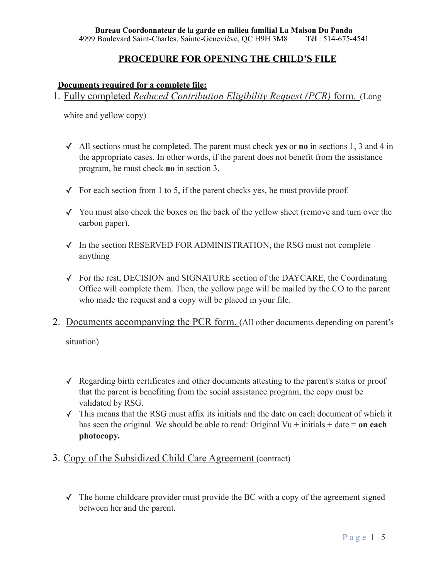### **PROCEDURE FOR OPENING THE CHILD'S FILE**

### **Documents required for a complete file:**

1. Fully completed *Reduced Contribution Eligibility Request (PCR)* form. (Long

white and yellow copy)

- ✓ All sections must be completed. The parent must check **yes** or **no** in sections 1, 3 and 4 in the appropriate cases. In other words, if the parent does not benefit from the assistance program, he must check **no** in section 3.
- $\checkmark$  For each section from 1 to 5, if the parent checks yes, he must provide proof.
- ✓ You must also check the boxes on the back of the yellow sheet (remove and turn over the carbon paper).
- ✓ In the section RESERVED FOR ADMINISTRATION, the RSG must not complete anything
- ✓ For the rest, DECISION and SIGNATURE section of the DAYCARE, the Coordinating Office will complete them. Then, the yellow page will be mailed by the CO to the parent who made the request and a copy will be placed in your file.
- 2. Documents accompanying the PCR form. (All other documents depending on parent's

situation)

- ✓ Regarding birth certificates and other documents attesting to the parent's status or proof that the parent is benefiting from the social assistance program, the copy must be validated by RSG.
- ✓ This means that the RSG must affix its initials and the date on each document of which it has seen the original. We should be able to read: Original Vu + initials + date = **on each photocopy.**
- 3. Copy of the Subsidized Child Care Agreement (contract)
	- $\checkmark$  The home childcare provider must provide the BC with a copy of the agreement signed between her and the parent.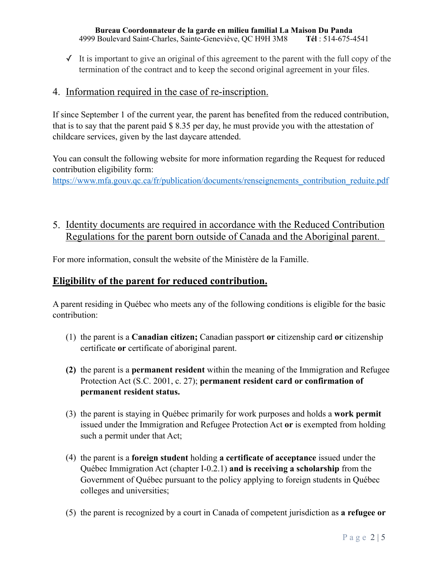$\checkmark$  It is important to give an original of this agreement to the parent with the full copy of the termination of the contract and to keep the second original agreement in your files.

## 4. Information required in the case of re-inscription.

If since September 1 of the current year, the parent has benefited from the reduced contribution, that is to say that the parent paid \$ 8.35 per day, he must provide you with the attestation of childcare services, given by the last daycare attended.

You can consult the following website for more information regarding the Request for reduced contribution eligibility form: [https://www.mfa.gouv.qc.ca/fr/publication/documents/renseignements\\_contribution\\_reduite.pdf](https://www.mfa.gouv.qc.ca/fr/publication/documents/renseignements_contribution_reduite.pdf)

5. Identity documents are required in accordance with the Reduced Contribution Regulations for the parent born outside of Canada and the Aboriginal parent.

For more information, consult the website of the Ministère de la Famille.

# **Eligibility of the parent for reduced contribution.**

A parent residing in Québec who meets any of the following conditions is eligible for the basic contribution:

- (1) the parent is a **Canadian citizen;** Canadian passport **or** citizenship card **or** citizenship certificate **or** certificate of aboriginal parent.
- **(2)** the parent is a **permanent resident** within the meaning of the Immigration and Refugee Protection Act (S.C. 2001, c. 27); **permanent resident card or confirmation of permanent resident status.**
- (3) the parent is staying in Québec primarily for work purposes and holds a **work permit**  issued under the Immigration and Refugee Protection Act **or** is exempted from holding such a permit under that Act;
- (4) the parent is a **foreign student** holding **a certificate of acceptance** issued under the Québec Immigration Act (chapter I-0.2.1) **and is receiving a scholarship** from the Government of Québec pursuant to the policy applying to foreign students in Québec colleges and universities;
- (5) the parent is recognized by a court in Canada of competent jurisdiction as **a refugee or**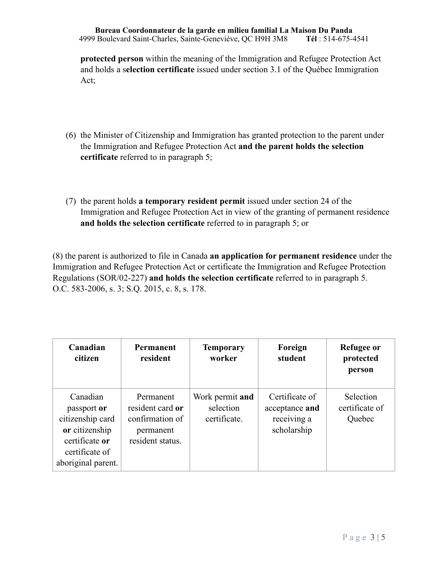**protected person** within the meaning of the Immigration and Refugee Protection Act and holds a s**election certificate** issued under section 3.1 of the Québec Immigration Act;

- (6) the Minister of Citizenship and Immigration has granted protection to the parent under the Immigration and Refugee Protection Act **and the parent holds the selection certificate** referred to in paragraph 5;
- (7) the parent holds **a temporary resident permit** issued under section 24 of the Immigration and Refugee Protection Act in view of the granting of permanent residence **and holds the selection certificate** referred to in paragraph 5; or

(8) the parent is authorized to file in Canada **an application for permanent residence** under the Immigration and Refugee Protection Act or certificate the Immigration and Refugee Protection Regulations (SOR/02-227) **and holds the selection certificate** referred to in paragraph 5. O.C. 583-2006, s. 3; S.Q. 2015, c. 8, s. 178.

| Canadian<br>citizen                                                                                                     | Permanent<br>resident                                                             | <b>Temporary</b><br>worker                   | Foreign<br>student                                             | Refugee or<br>protected<br>person     |
|-------------------------------------------------------------------------------------------------------------------------|-----------------------------------------------------------------------------------|----------------------------------------------|----------------------------------------------------------------|---------------------------------------|
| Canadian<br>passport or<br>citizenship card<br>or citizenship<br>certificate or<br>certificate of<br>aboriginal parent. | Permanent<br>resident card or<br>confirmation of<br>permanent<br>resident status. | Work permit and<br>selection<br>certificate. | Certificate of<br>acceptance and<br>receiving a<br>scholarship | Selection<br>certificate of<br>Quebec |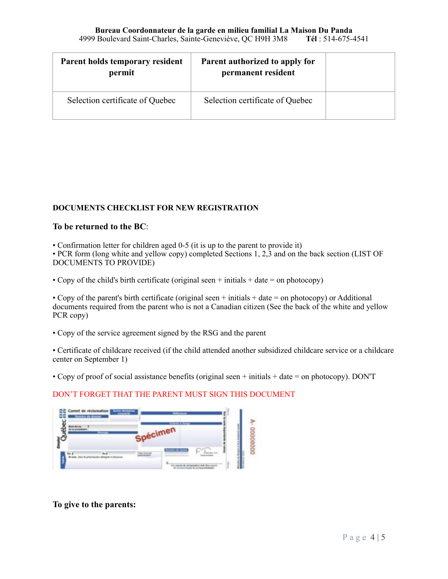| Parent holds temporary resident<br>permit | Parent authorized to apply for<br>permanent resident |  |
|-------------------------------------------|------------------------------------------------------|--|
| Selection certificate of Quebec           | Selection certificate of Quebec                      |  |

### **DOCUMENTS CHECKLIST FOR NEW REGISTRATION**

#### **To be returned to the BC**:

• Confirmation letter for children aged 0-5 (it is up to the parent to provide it)

• PCR form (long white and yellow copy) completed Sections 1, 2,3 and on the back section (LIST OF DOCUMENTS TO PROVIDE)

• Copy of the child's birth certificate (original seen  $+$  initials  $+$  date  $=$  on photocopy)

• Copy of the parent's birth certificate (original seen + initials + date = on photocopy) or Additional documents required from the parent who is not a Canadian citizen (See the back of the white and yellow PCR copy)

• Copy of the service agreement signed by the RSG and the parent

• Certificate of childcare received (if the child attended another subsidized childcare service or a childcare center on September 1)

• Copy of proof of social assistance benefits (original seen + initials + date = on photocopy). DON'T

### DON'T FORGET THAT THE PARENT MUST SIGN THIS DOCUMENT



**To give to the parents:**